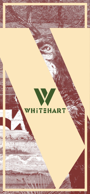

# WHITEHART

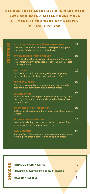10

6

5

# **SNACKS**<br>
SMOKED & SALTED ROAS<br>
SALTED PRETZELS **SMOKED & SALTED ROASTED ALMONDS**

**Salted Pretzels**

# **all our tasty cocktails are made with love and have a little house made element. if you want any recipes please just ask**

Poor Toms Sydney Dry Gin, pear & lemon myrtle shrub, pear and blackberry ferment and orange bitters

**peach please ice tea (Can) - until out** Tried and True Vodka, Supasowa, salted peach syrup and peach tea. Can be shared or enjoyed solo

## **three is a pear**

## **strawberry fields forever**

Buffalo Trace Bourbon, mint and native basil oleo, lime and **Orgeat** 

Four Pillars Rare Dry Gin, Aperol, strawberry & Pineapple ferment (strawberry, pineapple, ginger & hibiscus), orgeat & fresh grapefruit

### **hot tropic**

Flor De Can 4 Yr Old Rum, orange thyme & raspberry shrub, fresh pinapple, lime, mint and pinch of salt

## **bloody okar**

Four Pillars Dry, Okar Tropical, davidson plum syrup, Supasawa, fig & cinnamon bitters and topped with Fever Tree grapefruit soda

22

20

20

20

## **Tequila looks good on you**

Tromba Tequila, fig, cinamon & apple syrup, lemon, fresh pressed apple juice and peychauds bitters

20

## **what does it all mean basil**

20

## **bad medicine**

Starward Two Fold, mandarin shrub, ginger and wattleseed syrup, fig cinnamon bitters, lemon and pinch of salt

20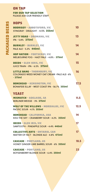| LITTLE BANG - THORNBURY, VIC<br><b>COLORADO WEED MONEY OAT CREAM - PALE ALE- 6%</b><br>$-375ml$        | 16          |
|--------------------------------------------------------------------------------------------------------|-------------|
| <b>BONEHEAD - KENSINGTON, VIC</b><br><b>BONAFIDE ELLAY - WEST COAST IPA - 56.7% 355ml</b>              | 17.5        |
| <b>YEAST</b><br>MISMATCH - ADELAIDE, SA                                                                | 11.5        |
| <b>BERLINER WEISSE - 3% 375ml</b><br>WOLF OF THE WILLOWS - MORDIALOC, VIC<br>PACIFIC SOUR - 4.1% 355ml | <b>17.5</b> |
| <b>BONEHEAD - CALIFORNIA, USA</b><br>KISS THE SKY - CRANBERRY SOUR - 4.2% 355ml                        | 14          |
| DEEDS - GLEN IRIS, VIC<br>SAWTOOTH - PINEAPPLE SOUR - 4.4% 440ml                                       | 17          |
| COLLECTIVE ARTS - ONTARIO, CAN<br>MATTER OF FACT - BLONDE ALE - 4.8% 473ml                             | 17          |
| <b>CASCADE - PORTLAND, US</b>                                                                          |             |

|              | ON TAP                                   |    |
|--------------|------------------------------------------|----|
|              | FOR OUR TAP SELECTION                    |    |
|              | <b>PLEASE ASK OUR FRIENDLY STAFF</b>     |    |
|              | HOPS                                     |    |
| <b>BEERS</b> | BODRIGGY - ABBOTSFORD, VIC               |    |
|              | STINGRAY - DRAUGHT - 4.5% 355ml          |    |
|              | JETTY ROAD - DROMANA, VIC                | 13 |
| $\bf{L}$     | IPA - 5.8% 375ml                         |    |
|              | <b>BURNLEY - BURNLEY, VIC</b>            | 14 |
| PACK4        | <b>PALE ALE - 5.2% 440ml</b>             |    |
|              | HOP NATION - FOOTSCRAY, VIC              | 14 |
|              | MELBOURNE FOG - HAZY PALE - 4.8% - 375ml |    |
|              | DEEDS - GLEN ISRIS, VIC                  | 15 |
|              | <b>JUICE TRAIN - IPA - 6.5% 375ml</b>    |    |

## **cascade - portland, us** BOYSENBERRY BLONDE SOUR - 6.4% 250ml

23

HONEY GINGER LIME BARREL SOUR - 6% 355ml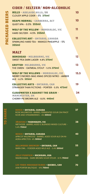**bench - ontario, canada** APRICOT WILDWOOD - BARREL AGED SOUR ALE ON NI-AGRA APRICTOS- 6% 500ml

### **les trois mousquetaires - quebec, can** 2018 PORTER BALTIQUE - 10% 750ml 70



40

**bellwoods brewery - ontario, can** BARN OWL - FOEDER AGED WILD ALE - 5.4% 500ml 55

**bench - ontario, canada** ROSE WILDWOOD -BARREL FERMENTED SOUR ON PINOT NOIR AND STRAWBERRIES - 6% 500ml

37

**cloudwater x against the grain manchester, uk** CHERRY PIE BROWN ALE - 8.0% 440ml

| CIDER / SELTZER/ NON-ALCOHOLIC                                            |                |
|---------------------------------------------------------------------------|----------------|
| <b>HILLS - ADELAIDE HILLS, SA</b><br><b>CLOUDY APPLE CIDER - 5% 375ml</b> |                |
| <b>HEAPS NORMAL - CANBERRA, ACT</b>                                       | $\blacksquare$ |
| <b>QUEIT XPA - 0.5% 355ml</b>                                             |                |
| WOLF OF THE WILLOW - MORDIALOC, VIC                                       |                |
| HARD SELTZER - 4.5% 355ml                                                 |                |
| COLLECTIVE ART - ONTARIO, CANADA                                          |                |
| <b>SPARKLING HARD TEA - MANGO PINEAPPLE - 5%</b>                          |                |
| <b>355ml</b>                                                              |                |
| MALT                                                                      |                |
|                                                                           |                |
| <b>BONEHEAD - MELBOURNE, VIC</b>                                          | 12             |
| <b>SWEET PEA DARK LAGER-4.8% 375ml</b>                                    |                |
| GRIFTER- MELBOURNE, VIC                                                   | 13             |

34

**wolf of the willows - mordialoc, vic**  MERRY S'MORES-MAS XMAS SPICED NITRO - AMBER ALE - 6.2% 355ml

15.5

**3Ravens - thornbury, vic** METHODE -BARREL AGED & BLENDED MIXED CULTURE - 5.4% 750ml

38

**Jolly pumpkin - michigan, usa** MADRUGADA - DARK BROWN SOUR STOUR - 8.1% 750ml 60

THE OMEN - OATMEAL STOUT - 5.5% 375ml

**collective arts - ontario, can** STRANGER THAN FICTIONS - PORTER - 5.5% 473ml 19